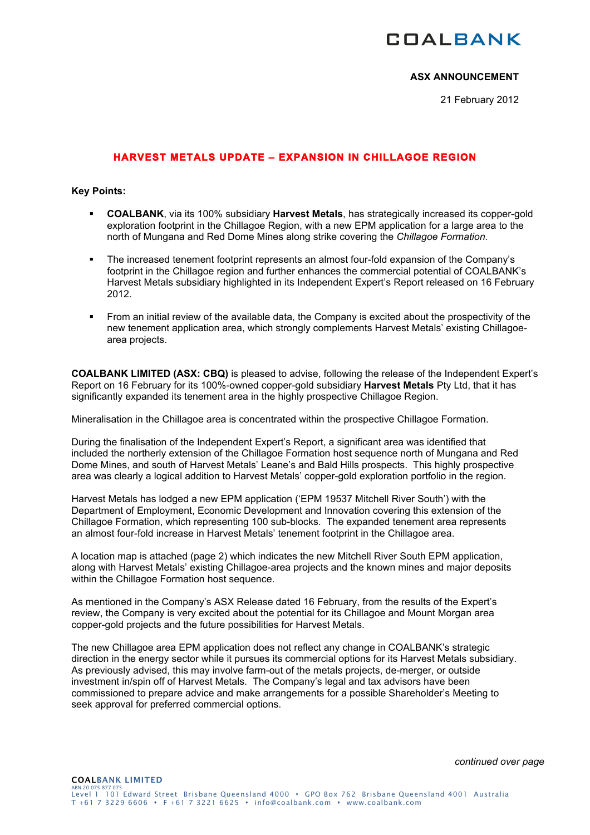# **COALBANK**

# **ASX ANNOUNCEMENT**

21 February 2012

# **HARVEST METALS UPDATE – EXPANSION IN CHILLAGOE REGION**

#### **Key Points:**

- **COALBANK**, via its 100% subsidiary **Harvest Metals**, has strategically increased its copper-gold exploration footprint in the Chillagoe Region, with a new EPM application for a large area to the north of Mungana and Red Dome Mines along strike covering the *Chillagoe Formation.*
- The increased tenement footprint represents an almost four-fold expansion of the Company's footprint in the Chillagoe region and further enhances the commercial potential of COALBANK's Harvest Metals subsidiary highlighted in its Independent Expert's Report released on 16 February 2012.
- From an initial review of the available data, the Company is excited about the prospectivity of the new tenement application area, which strongly complements Harvest Metals' existing Chillagoearea projects.

**COALBANK LIMITED (ASX: CBQ)** is pleased to advise, following the release of the Independent Expert's Report on 16 February for its 100%-owned copper-gold subsidiary **Harvest Metals** Pty Ltd, that it has significantly expanded its tenement area in the highly prospective Chillagoe Region.

Mineralisation in the Chillagoe area is concentrated within the prospective Chillagoe Formation.

During the finalisation of the Independent Expert's Report, a significant area was identified that included the northerly extension of the Chillagoe Formation host sequence north of Mungana and Red Dome Mines, and south of Harvest Metals' Leane's and Bald Hills prospects. This highly prospective area was clearly a logical addition to Harvest Metals' copper-gold exploration portfolio in the region.

Harvest Metals has lodged a new EPM application ('EPM 19537 Mitchell River South') with the Department of Employment, Economic Development and Innovation covering this extension of the Chillagoe Formation, which representing 100 sub-blocks. The expanded tenement area represents an almost four-fold increase in Harvest Metals' tenement footprint in the Chillagoe area.

A location map is attached (page 2) which indicates the new Mitchell River South EPM application, along with Harvest Metals' existing Chillagoe-area projects and the known mines and major deposits within the Chillagoe Formation host sequence.

As mentioned in the Company's ASX Release dated 16 February, from the results of the Expert's review, the Company is very excited about the potential for its Chillagoe and Mount Morgan area copper-gold projects and the future possibilities for Harvest Metals.

The new Chillagoe area EPM application does not reflect any change in COALBANK's strategic direction in the energy sector while it pursues its commercial options for its Harvest Metals subsidiary. As previously advised, this may involve farm-out of the metals projects, de-merger, or outside investment in/spin off of Harvest Metals. The Company's legal and tax advisors have been commissioned to prepare advice and make arrangements for a possible Shareholder's Meeting to seek approval for preferred commercial options.

*continued over page*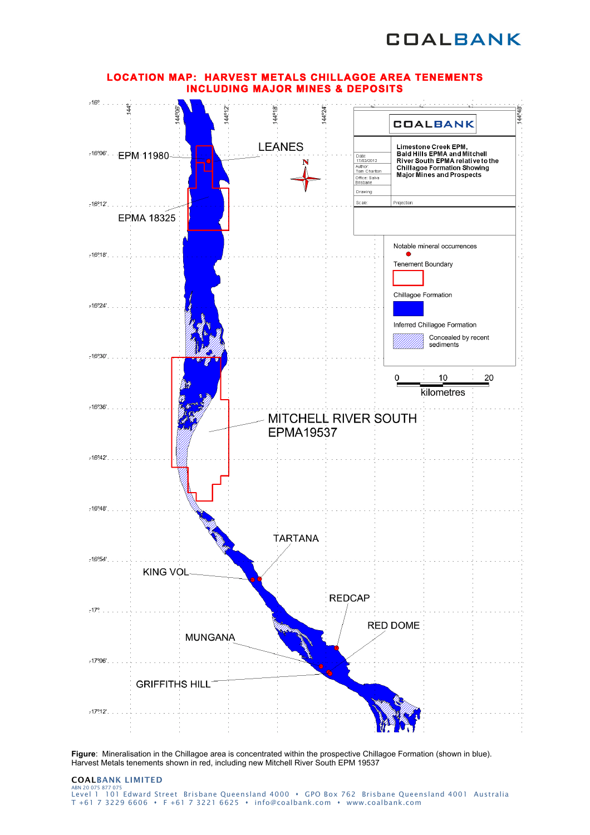



**LOCATION MAP: HARVEST METALS CHILLAGOE AREA TENEMENTS** 

**Figure**: Mineralisation in the Chillagoe area is concentrated within the prospective Chillagoe Formation (shown in blue). Harvest Metals tenements shown in red, including new Mitchell River South EPM 19537

#### COALBANK LIMITED ABN 20075 877 075<br>Level 1 101 Edward Street Brisbane Queensland 4000 • GPO Box 762 Brisbane Queensland 4001 Australia T +61 7 3229 6606 F +61 7 3221 6625 info@coalbank.com www.coalbank.com